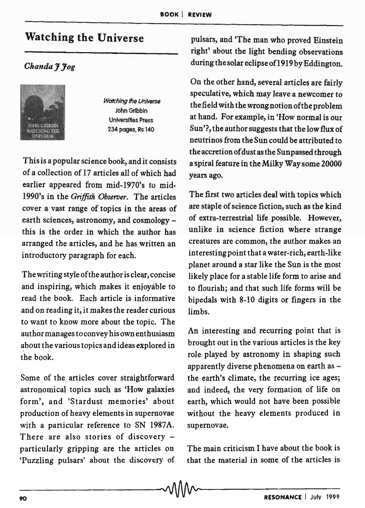## **Watching the Universe**

## *Chanda] Jog*



**Watching the Universe** John Gribbin Universities Press 234 pages, Rs 140

This is a popular science book, and it consists of a collection of 17 articles all of which had earlier appeared from mid-1970's to mid-1990's in the *Griffith Observer.* The articles cover a vast range of topics in the areas of earth sciences, astronomy, and cosmology this is the order in which the author has arranged the articles, and he has written an introductory paragraph for each.

The writing style of the author is clear, concise and inspiring, which makes it enjoyable to read the book. Each article is informative and on reading it, it makes the reader curious to want to know more about the topic. The author manages to convey his own enthusiasm about the various topics and ideas explored in the book.

Some of the articles cover straightforward astronomical topics such as 'How galaxies form', and 'Stardust memories' about production of heavy elements in supernovae with a particular reference to SN 1987A. There are also stories of discovery particularly gripping are the articles on 'Puzzling pulsars' about the discovery of

pulsars, and 'The man who proved Einstein right' about the light bending observations during the solar eclipse of1919 by Eddington.

On the other hand, several articles are fairly speculative, which may leave a newcomer to the field with the wrong notion of the problem at hand. For example, in 'How normal is our Sun'?, the author suggests that the low flux of neutrinos from the Sun could be attributed to the accretion of dust as the Sunpassed through a spiral feature in the Milky Way some 20000 years ago.

The first two articles deal with topics which are staple of science fiction, such as the kind of extra-terrestrial life possible. However, unlike in science fiction where strange creatures are common, the author makes an interesting point that a water-rich, earth-like planet around a star like the Sun is the most likely place for a stable life form to arise and to flourish; and that such life forms will be bipedals with 8-10 digits or fingers in the limbs.

An interesting and recurring point that is brought out in the various articles is the key role played by astronomy in shaping such apparently diverse phenomena on earth as the earth's climate, the recurring ice ages; and indeed, the very formation of life on earth, which would not have been possible without the heavy elements produced in supernovae.

The main criticism I have about the book is that the material in some of the articles is

-90-----------------------------~---------------R-ES-O-N-A-N-C-E--I-JU-I-V-1-9--99